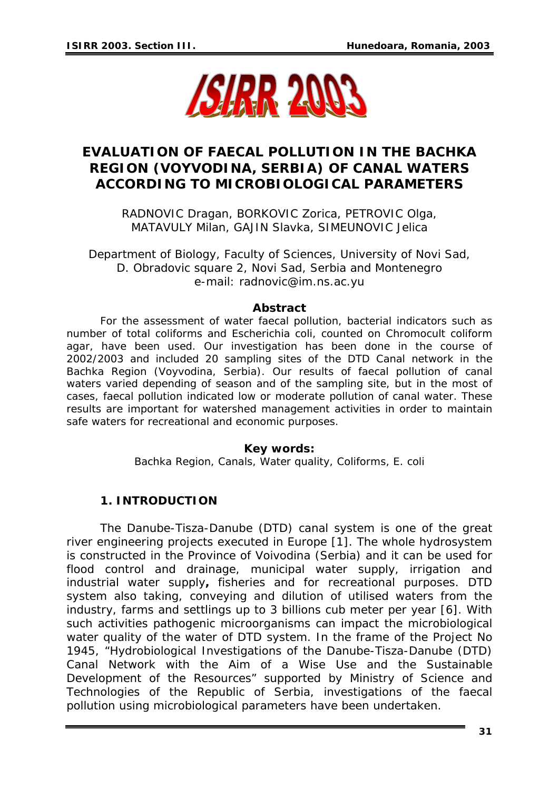

# **EVALUATION OF FAECAL POLLUTION IN THE BACHKA REGION (VOYVODINA, SERBIA) OF CANAL WATERS ACCORDING TO MICROBIOLOGICAL PARAMETERS**

RADNOVIC Dragan, BORKOVIC Zorica, PETROVIC Olga, MATAVULY Milan, GAJIN Slavka, SIMEUNOVIC Jelica

Department of Biology, Faculty of Sciences, University of Novi Sad, D. Obradovic square 2, Novi Sad, Serbia and Montenegro e-mail: radnovic@im.ns.ac.yu

#### *Abstract*

*For the assessment of water faecal pollution, bacterial indicators such as number of total coliforms and Escherichia coli, counted on Chromocult coliform agar, have been used. Our investigation has been done in the course of 2002/2003 and included 20 sampling sites of the DTD Canal network in the*  Bachka Region (Voyvodina, Serbia). Our results of faecal pollution of canal waters varied depending of season and of the sampling site, but in the most of *cases, faecal pollution indicated low or moderate pollution of canal water. These results are important for watershed management activities in order to maintain safe waters for recreational and economic purposes.* 

#### *Key words:*

*Bachka Region, Canals, Water quality, Coliforms, E. coli* 

# **1. INTRODUCTION**

The Danube-Tisza-Danube (DTD) canal system is one of the great river engineering projects executed in Europe [1]. The whole hydrosystem is constructed in the Province of Voivodina (Serbia) and it can be used for flood control and drainage, municipal water supply, irrigation and industrial water supply**,** fisheries and for recreational purposes. DTD system also taking, conveying and dilution of utilised waters from the industry, farms and settlings up to 3 billions cub meter per year [6]. With such activities pathogenic microorganisms can impact the microbiological water quality of the water of DTD system. In the frame of the Project No 1945, "Hydrobiological Investigations of the Danube-Tisza-Danube (DTD) Canal Network with the Aim of a Wise Use and the Sustainable Development of the Resources" supported by Ministry of Science and Technologies of the Republic of Serbia, investigations of the faecal pollution using microbiological parameters have been undertaken.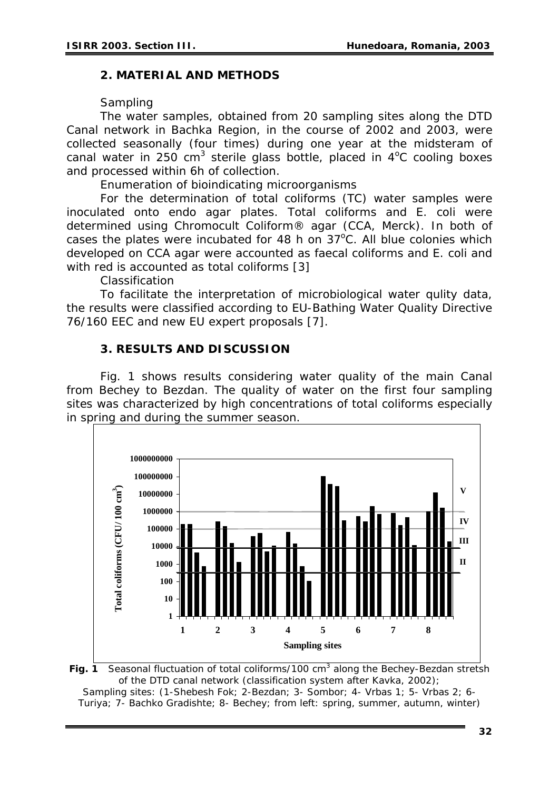## **2. MATERIAL AND METHODS**

## *Sampling*

The water samples, obtained from 20 sampling sites along the DTD Canal network in Bachka Region, in the course of 2002 and 2003, were collected seasonally (four times) during one year at the midsteram of canal water in 250 cm<sup>3</sup> sterile glass bottle, placed in  $4^{\circ}$ C cooling boxes and processed within 6h of collection.

*Enumeration of bioindicating microorganisms* 

For the determination of total coliforms (TC) water samples were inoculated onto endo agar plates. Total coliforms and *E. coli* were determined using Chromocult Coliform® agar (CCA, Merck). In both of cases the plates were incubated for  $48$  h on  $37^{\circ}$ C. All blue colonies which developed on CCA agar were accounted as faecal coliforms and *E. coli* and with red is accounted as total coliforms [3]

### *Classification*

To facilitate the interpretation of microbiological water qulity data, the results were classified according to EU-Bathing Water Quality Directive 76/160 EEC and new EU expert proposals [7].

## **3. RESULTS AND DISCUSSION**

Fig. 1 shows results considering water quality of the main Canal from Bechey to Bezdan. The quality of water on the first four sampling sites was characterized by high concentrations of total coliforms especially in spring and during the summer season.



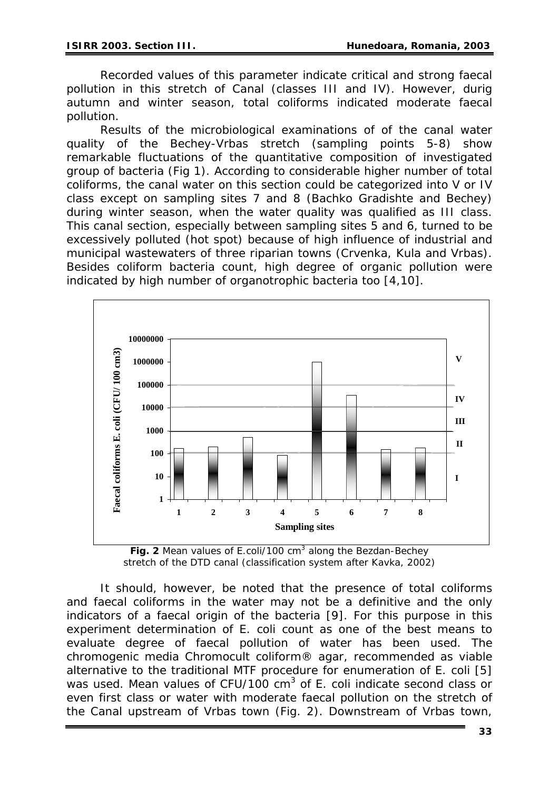Recorded values of this parameter indicate critical and strong faecal pollution in this stretch of Canal (classes III and IV). However, durig autumn and winter season, total coliforms indicated moderate faecal pollution.

Results of the microbiological examinations of of the canal water quality of the Bechey-Vrbas stretch (sampling points 5-8) show remarkable fluctuations of the quantitative composition of investigated group of bacteria (Fig 1). According to considerable higher number of total coliforms, the canal water on this section could be categorized into V or IV class except on sampling sites 7 and 8 (Bachko Gradishte and Bechey) during winter season, when the water quality was qualified as III class. This canal section, especially between sampling sites 5 and 6, turned to be excessively polluted (hot spot) because of high influence of industrial and municipal wastewaters of three riparian towns (Crvenka, Kula and Vrbas). Besides coliform bacteria count, high degree of organic pollution were indicated by high number of organotrophic bacteria too [4,10].



**Fig. 2** Mean values of E.coli/100 cm<sup>3</sup> along the Bezdan-Bechey *stretch of the DTD canal (classification system after Kavka, 2002)* 

It should, however, be noted that the presence of total coliforms and faecal coliforms in the water may not be a definitive and the only indicators of a faecal origin of the bacteria [9]. For this purpose in this experiment determination of *E. coli* count as one of the best means to evaluate degree of faecal pollution of water has been used. The chromogenic media Chromocult coliform® agar, recommended as viable alternative to the traditional MTF procedure for enumeration of *E. coli* [5] was used. Mean values of CFU/100 cm<sup>3</sup> of *E. coli* indicate second class or even first class or water with moderate faecal pollution on the stretch of the Canal upstream of Vrbas town (*Fig. 2*). Downstream of Vrbas town,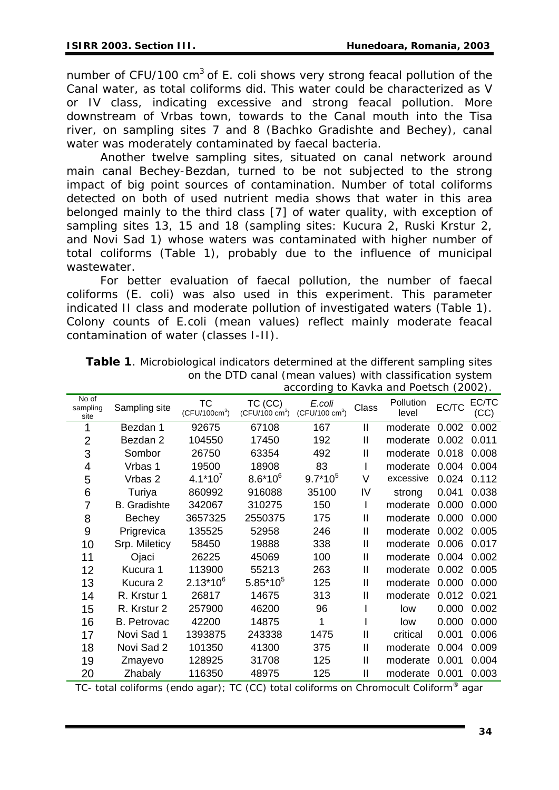number of CFU/100 cm<sup>3</sup> of *E. coli* shows very strong feacal pollution of the Canal water, as total coliforms did. This water could be characterized as V or IV class, indicating excessive and strong feacal pollution. More downstream of Vrbas town, towards to the Canal mouth into the Tisa river, on sampling sites 7 and 8 (Bachko Gradishte and Bechey), canal water was moderately contaminated by faecal bacteria.

Another twelve sampling sites, situated on canal network around main canal Bechey-Bezdan, turned to be not subjected to the strong impact of big point sources of contamination. Number of total coliforms detected on both of used nutrient media shows that water in this area belonged mainly to the third class [7] of water quality, with exception of sampling sites 13, 15 and 18 (sampling sites: Kucura 2, Ruski Krstur 2, and Novi Sad 1) whose waters was contaminated with higher number of total coliforms (Table 1), probably due to the influence of municipal wastewater.

For better evaluation of faecal pollution, the number of faecal coliforms (*E. coli*) was also used in this experiment. This parameter indicated II class and moderate pollution of investigated waters (Table 1). Colony counts of *E.coli* (mean values) reflect mainly moderate feacal contamination of water (classes I-II).

|                           |                     |                                        |                                     | according to Navna and PoetSch (2002). |               |                    |       |               |
|---------------------------|---------------------|----------------------------------------|-------------------------------------|----------------------------------------|---------------|--------------------|-------|---------------|
| No of<br>sampling<br>site | Sampling site       | <b>TC</b><br>(CFU/100cm <sup>3</sup> ) | TC (CC)<br>$(CFU/100 \text{ cm}^3)$ | E.coli<br>$(CFU/100 \text{ cm}^3)$     | Class         | Pollution<br>level | EC/TC | EC/TC<br>(CC) |
|                           | Bezdan 1            | 92675                                  | 67108                               | 167                                    | $\mathsf{I}$  | moderate           | 0.002 | 0.002         |
| 2                         | Bezdan 2            | 104550                                 | 17450                               | 192                                    | $\mathbf{I}$  | moderate           | 0.002 | 0.011         |
| 3                         | Sombor              | 26750                                  | 63354                               | 492                                    | $\mathbf{I}$  | moderate           | 0.018 | 0.008         |
| 4                         | Vrbas 1             | 19500                                  | 18908                               | 83                                     |               | moderate           | 0.004 | 0.004         |
| 5                         | Vrbas 2             | $4.1*10^{7}$                           | $8.6*10^{6}$                        | $9.7*10^5$                             | V             | excessive          | 0.024 | 0.112         |
| 6                         | Turiya              | 860992                                 | 916088                              | 35100                                  | IV            | strong             | 0.041 | 0.038         |
| 7                         | <b>B.</b> Gradishte | 342067                                 | 310275                              | 150                                    | L             | moderate           | 0.000 | 0.000         |
| 8                         | <b>Bechey</b>       | 3657325                                | 2550375                             | 175                                    | $\mathbf{I}$  | moderate           | 0.000 | 0.000         |
| 9                         | Prigrevica          | 135525                                 | 52958                               | 246                                    | $\mathbf{I}$  | moderate           | 0.002 | 0.005         |
| 10                        | Srp. Mileticy       | 58450                                  | 19888                               | 338                                    | $\mathbf{I}$  | moderate           | 0.006 | 0.017         |
| 11                        | Ojaci               | 26225                                  | 45069                               | 100                                    | $\mathbf{I}$  | moderate           | 0.004 | 0.002         |
| 12                        | Kucura 1            | 113900                                 | 55213                               | 263                                    | $\mathbf{I}$  | moderate           | 0.002 | 0.005         |
| 13                        | Kucura 2            | $2.13*10^{6}$                          | $5.85*10^{5}$                       | 125                                    | $\mathbf{I}$  | moderate           | 0.000 | 0.000         |
| 14                        | R. Krstur 1         | 26817                                  | 14675                               | 313                                    | $\mathsf{I}$  | moderate           | 0.012 | 0.021         |
| 15                        | R. Krstur 2         | 257900                                 | 46200                               | 96                                     |               | low                | 0.000 | 0.002         |
| 16                        | <b>B.</b> Petrovac  | 42200                                  | 14875                               | 1                                      |               | low                | 0.000 | 0.000         |
| 17                        | Novi Sad 1          | 1393875                                | 243338                              | 1475                                   | Ш             | critical           | 0.001 | 0.006         |
| 18                        | Novi Sad 2          | 101350                                 | 41300                               | 375                                    | $\mathbf{II}$ | moderate           | 0.004 | 0.009         |
| 19                        | Zmayevo             | 128925                                 | 31708                               | 125                                    | $\mathbf{I}$  | moderate           | 0.001 | 0.004         |
| 20                        | Zhabaly             | 116350                                 | 48975                               | 125                                    | $\mathbf{I}$  | moderate           | 0.001 | 0.003         |

*Table 1. Microbiological indicators determined at the different sampling sites on the DTD canal (mean values) with classification system according to Kavka and Poetsch (2002).* 

TC- total coliforms (endo agar); TC (CC) total coliforms on Chromocult Coliform® agar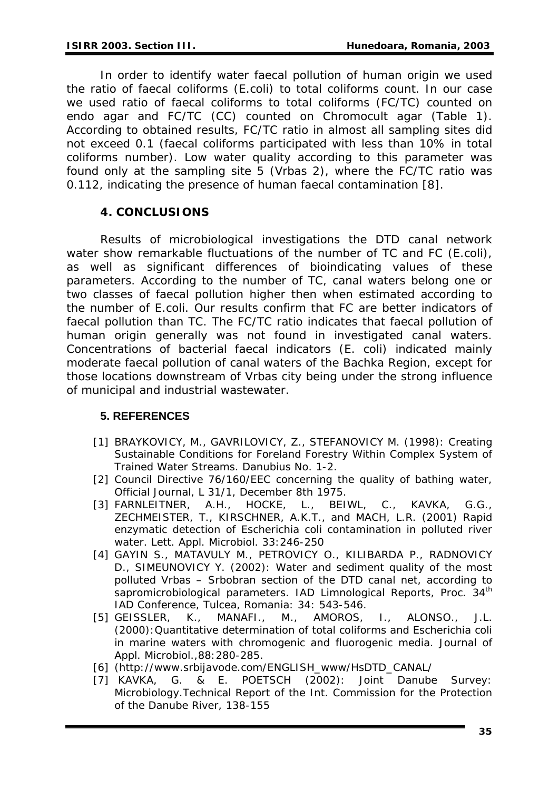In order to identify water faecal pollution of human origin we used the ratio of faecal coliforms (*E.coli*) to total coliforms count. In our case we used ratio of faecal coliforms to total coliforms (FC/TC) counted on endo agar and FC/TC (CC) counted on Chromocult agar (Table 1). According to obtained results, FC/TC ratio in almost all sampling sites did not exceed 0.1 (faecal coliforms participated with less than 10% in total coliforms number). Low water quality according to this parameter was found only at the sampling site 5 (Vrbas 2), where the FC/TC ratio was 0.112, indicating the presence of human faecal contamination [8].

# **4. CONCLUSIONS**

Results of microbiological investigations the DTD canal network water show remarkable fluctuations of the number of TC and FC (*E.coli*), as well as significant differences of bioindicating values of these parameters. According to the number of TC, canal waters belong one or two classes of faecal pollution higher then when estimated according to the number of *E.coli*. Our results confirm that FC are better indicators of faecal pollution than TC. The FC/TC ratio indicates that faecal pollution of human origin generally was not found in investigated canal waters. Concentrations of bacterial faecal indicators (*E. coli*) indicated mainly moderate faecal pollution of canal waters of the Bachka Region, except for those locations downstream of Vrbas city being under the strong influence of municipal and industrial wastewater.

# **5. REFERENCES**

- [1] BRAYKOVICY, M., GAVRILOVICY, Z., STEFANOVICY M. (1998): Creating Sustainable Conditions for Foreland Forestry Within Complex System of Trained Water Streams. Danubius No. 1-2.
- [2] Council Directive 76/160/EEC concerning the quality of bathing water, Official Journal, L 31/1, December 8th 1975.
- [3] FARNLEITNER, A.H., HOCKE, L., BEIWL, C., KAVKA, G.G., ZECHMEISTER, T., KIRSCHNER, A.K.T., and MACH, L.R. (2001) Rapid enzymatic detection of Escherichia coli contamination in polluted river water. Lett. Appl. Microbiol. 33:246-250
- [4] GAYIN S., MATAVULY M., PETROVICY O., KILIBARDA P., RADNOVICY D., SIMEUNOVICY Y. (2002): Water and sediment quality of the most polluted Vrbas – Srbobran section of the DTD canal net, according to sapromicrobiological parameters. IAD Limnological Reports, Proc. 34<sup>th</sup> IAD Conference, Tulcea, Romania: 34: 543-546.
- [5] GEISSLER, K., MANAFI., M., AMOROS, I., ALONSO., J.L. (2000):Quantitative determination of total coliforms and *Escherichia coli* in marine waters with chromogenic and fluorogenic media. Journal of Appl. Microbiol.,88:280-285.
- [6] ([http://www.srbijavode.com/ENGLISH\\_www/HsDTD\\_CANAL/](http://www.srbijavode.com/ENGLISH_www/HsDTD_CANAL/)
- [7] KAVKA, G. & E. POETSCH (2002): Joint Danube Survey: Microbiology.Technical Report of the Int. Commission for the Protection of the Danube River, 138-155